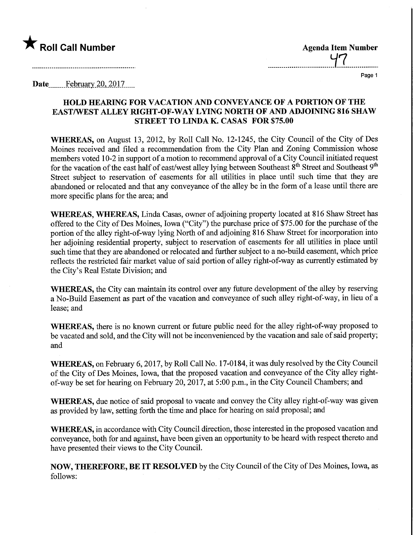

Date........Febryary.20,.2017.

## HOLD HEARING FOR VACATION AND CONVEYANCE OF A PORTION OF THE EASTAVEST ALLEY RIGHT-OF-WAY LYING NORTH OF AND ADJOINING 816 SHAW STREET TO LINDA K. CASAS FOR \$75.00

WHEREAS, on August 13, 2012, by Roll Call No. 12-1245, the City Council of the City of Des Moines received and filed a recommendation from the City Plan and Zoning Commission whose members voted 10-2 in support of a motion to recommend approval of a City Council initiated request for the vacation of the east half of east/west alley lying between Southeast  $8<sup>th</sup>$  Street and Southeast  $9<sup>th</sup>$ Street subject to reservation of easements for all utilities in place until such time that they are abandoned or relocated and that any conveyance of the alley be in the form of a lease until there are more specific plans for the area; and

WHEREAS, WHEREAS, Linda Casas, owner of adjoining property located at 816 Shaw Street has offered to the City of Des Moines, Iowa ("City") the purchase price of \$75.00 for the purchase of the portion of the alley right-of-way lying North of and adjoining 816 Shaw Street for incorporation into her adjoining residential property, subject to reservation of easements for all utilities in place until such time that they are abandoned or relocated and further subject to a no-build easement, which price reflects the restricted fair market value of said portion of alley right-of-way as currently estimated by the City's Real Estate Division; and

WHEREAS, the City can maintain its control over any future development of the alley by reserving a No-Build Easement as part of the vacation and conveyance of such alley right-of-way, in lieu of a lease; and

WHEREAS, there is no known current or future public need for the alley right-of-way proposed to be vacated and sold, and the City will not be inconvenienced by the vacation and sale of said property; and

WHEREAS, on February 6, 2017, by Roll Call No. 17-0184, it was duly resolved by the City Council of the City of Des Moines, Iowa, that the proposed vacation and conveyance of the City alley rightof-way be set for hearing on February 20, 2017, at 5:00 p.m., in the City Council Chambers; and

WHEREAS, due notice of said proposal to vacate and convey the City alley right-of-way was given as provided by law, setting forth the time and place for hearing on said proposal; and

WHEREAS, in accordance with City Council direction, those interested in the proposed vacation and conveyance, both for and against, have been given an opportunity to be heard with respect thereto and have presented their views to the City Council.

NOW, THEREFORE, BE IT RESOLVED by the City Council of the City of Des Moines, Iowa, as follows: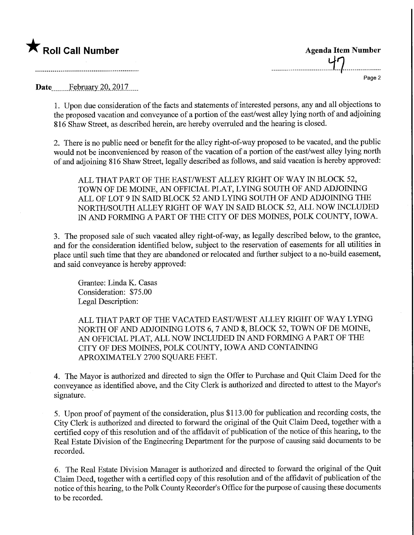

Roll Call Number Agenda Item Number<br>
Agenda Item Number<br>
Agenda Item Number Page 2

Date February 20, 2017

1. Upon due consideration of the facts and statements of interested persons, any and all objections to the proposed vacation and conveyance of a portion of the east/west alley lying north of and adjoining 816 Shaw Street, as described herein, are hereby overruled and the hearing is closed.

2. There is no public need or benefit for the alley right-of-way proposed to be vacated, and the public would not be inconvenienced by reason of the vacation of a portion of the east/west alley lying north of and adjoining 816 Shaw Street, legally described as follows, and said vacation is hereby approved:

ALL THAT PART OF THE EAST/WEST ALLEY RIGHT OF WAY IN BLOCK 52, TOWN OF DE MOINE, AN OFFICIAL PLAT, LYING SOUTH OF AND ADJOINING ALL OF LOT 9 IN SAID BLOCK 52 AND LYING SOUTH OF AND ADJOINING THE NORTH/SOUTH ALLEY RIGHT OF WAY IN SAID BLOCK 52, ALL NOW INCLUDED IN AND FORMING A PART OF THE CITY OF DES MOINES, POLK COUNTY, IOWA.

3. The proposed sale of such vacated alley right-of-way, as legally described below, to the grantee, and for the consideration identified below, subject to the reservation of easements for all utilities in place until such time that they are abandoned or relocated and further subject to a no-build easement, and said conveyance is hereby approved:

Grantee: Linda K. Casas Consideration: \$75.00 Legal Description:

ALL THAT PART OF THE VACATED EAST/WEST ALLEY RIGHT OF WAY LYING NORTH OF AND ADJOINING LOTS 6, 7 AND 8, BLOCK 52, TOWN OF DE MOINE, AN OFFICIAL PLAT, ALL NOW INCLUDED IN AND FORMING A PART OF THE CITY OF DES MOINES, POLK COUNTY, IOWA AND CONTAINING APROXIMATELY 2700 SQUARE FEET.

4. The Mayor is authorized and directed to sign the Offer to Purchase and Quit Claim Deed for the conveyance as identified above, and the City Clerk is authorized and directed to attest to the Mayor's signature.

5. Upon proof of payment of the consideration, plus \$113.00 for publication and recording costs, the City Clerk is authorized and directed to forward the original of the Quit Claim Deed, together with a certified copy of this resolution and of the affidavit of publication of the notice of this hearing, to the Real Estate Division of the Engineering Department for the purpose of causing said documents to be recorded.

6. The Real Estate Division Manager is authorized and directed to forward the original of the Quit Claim Deed, together with a certified copy of this resolution and of the affidavit of publication of the notice of this hearing, to the Polk County Recorder's Office for the purpose of causing these documents to be recorded.